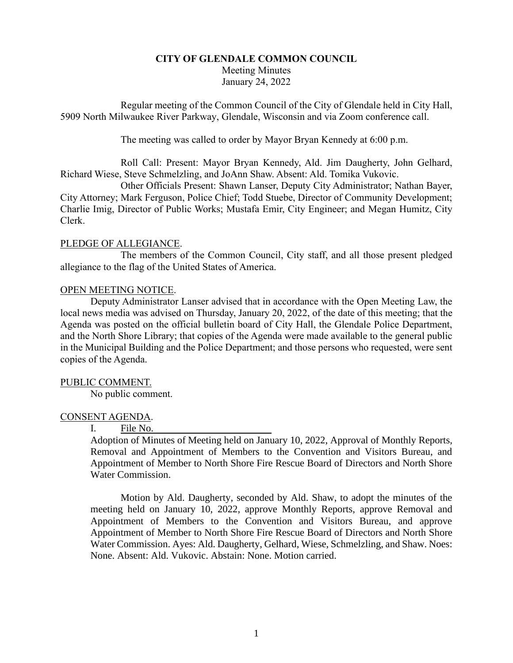# **CITY OF GLENDALE COMMON COUNCIL** Meeting Minutes January 24, 2022

Regular meeting of the Common Council of the City of Glendale held in City Hall, 5909 North Milwaukee River Parkway, Glendale, Wisconsin and via Zoom conference call.

The meeting was called to order by Mayor Bryan Kennedy at 6:00 p.m.

Roll Call: Present: Mayor Bryan Kennedy, Ald. Jim Daugherty, John Gelhard, Richard Wiese, Steve Schmelzling, and JoAnn Shaw. Absent: Ald. Tomika Vukovic.

Other Officials Present: Shawn Lanser, Deputy City Administrator; Nathan Bayer, City Attorney; Mark Ferguson, Police Chief; Todd Stuebe, Director of Community Development; Charlie Imig, Director of Public Works; Mustafa Emir, City Engineer; and Megan Humitz, City Clerk.

## PLEDGE OF ALLEGIANCE.

The members of the Common Council, City staff, and all those present pledged allegiance to the flag of the United States of America.

## OPEN MEETING NOTICE.

Deputy Administrator Lanser advised that in accordance with the Open Meeting Law, the local news media was advised on Thursday, January 20, 2022, of the date of this meeting; that the Agenda was posted on the official bulletin board of City Hall, the Glendale Police Department, and the North Shore Library; that copies of the Agenda were made available to the general public in the Municipal Building and the Police Department; and those persons who requested, were sent copies of the Agenda.

## PUBLIC COMMENT.

No public comment.

# CONSENT AGENDA.

## I. File No.

Adoption of Minutes of Meeting held on January 10, 2022, Approval of Monthly Reports, Removal and Appointment of Members to the Convention and Visitors Bureau, and Appointment of Member to North Shore Fire Rescue Board of Directors and North Shore Water Commission.

Motion by Ald. Daugherty, seconded by Ald. Shaw, to adopt the minutes of the meeting held on January 10, 2022, approve Monthly Reports, approve Removal and Appointment of Members to the Convention and Visitors Bureau, and approve Appointment of Member to North Shore Fire Rescue Board of Directors and North Shore Water Commission. Ayes: Ald. Daugherty, Gelhard, Wiese, Schmelzling, and Shaw. Noes: None. Absent: Ald. Vukovic. Abstain: None. Motion carried.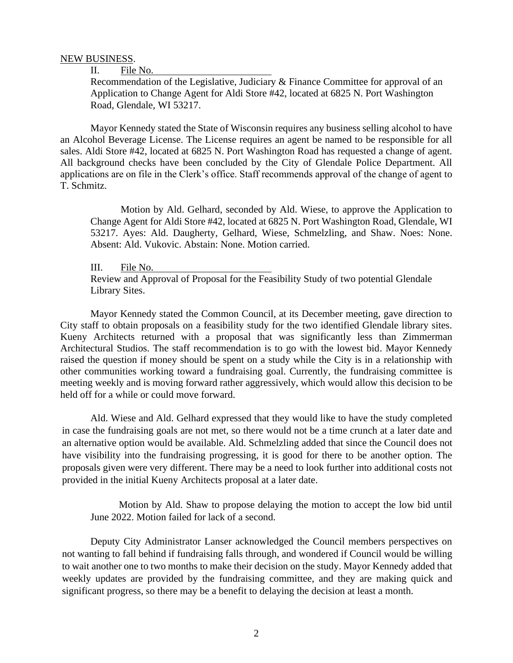### NEW BUSINESS.

II. File No.

Recommendation of the Legislative, Judiciary & Finance Committee for approval of an Application to Change Agent for Aldi Store #42, located at 6825 N. Port Washington Road, Glendale, WI 53217.

Mayor Kennedy stated the State of Wisconsin requires any business selling alcohol to have an Alcohol Beverage License. The License requires an agent be named to be responsible for all sales. Aldi Store #42, located at 6825 N. Port Washington Road has requested a change of agent. All background checks have been concluded by the City of Glendale Police Department. All applications are on file in the Clerk's office. Staff recommends approval of the change of agent to T. Schmitz.

Motion by Ald. Gelhard, seconded by Ald. Wiese, to approve the Application to Change Agent for Aldi Store #42, located at 6825 N. Port Washington Road, Glendale, WI 53217. Ayes: Ald. Daugherty, Gelhard, Wiese, Schmelzling, and Shaw. Noes: None. Absent: Ald. Vukovic. Abstain: None. Motion carried.

III. File No.

Review and Approval of Proposal for the Feasibility Study of two potential Glendale Library Sites.

Mayor Kennedy stated the Common Council, at its December meeting, gave direction to City staff to obtain proposals on a feasibility study for the two identified Glendale library sites. Kueny Architects returned with a proposal that was significantly less than Zimmerman Architectural Studios. The staff recommendation is to go with the lowest bid. Mayor Kennedy raised the question if money should be spent on a study while the City is in a relationship with other communities working toward a fundraising goal. Currently, the fundraising committee is meeting weekly and is moving forward rather aggressively, which would allow this decision to be held off for a while or could move forward.

Ald. Wiese and Ald. Gelhard expressed that they would like to have the study completed in case the fundraising goals are not met, so there would not be a time crunch at a later date and an alternative option would be available. Ald. Schmelzling added that since the Council does not have visibility into the fundraising progressing, it is good for there to be another option. The proposals given were very different. There may be a need to look further into additional costs not provided in the initial Kueny Architects proposal at a later date.

Motion by Ald. Shaw to propose delaying the motion to accept the low bid until June 2022. Motion failed for lack of a second.

Deputy City Administrator Lanser acknowledged the Council members perspectives on not wanting to fall behind if fundraising falls through, and wondered if Council would be willing to wait another one to two months to make their decision on the study. Mayor Kennedy added that weekly updates are provided by the fundraising committee, and they are making quick and significant progress, so there may be a benefit to delaying the decision at least a month.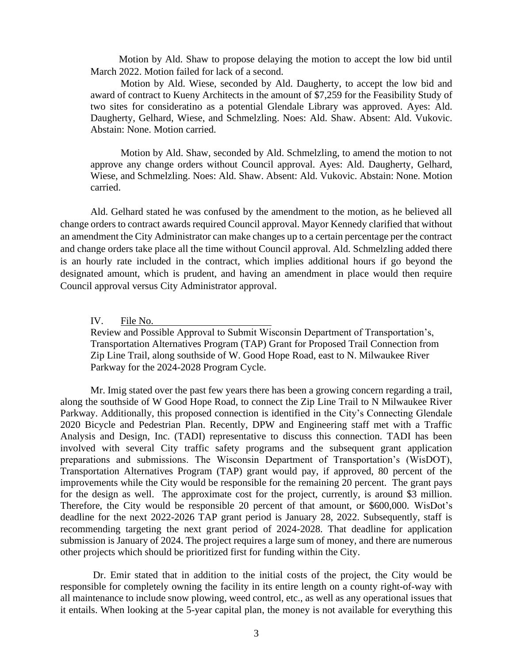Motion by Ald. Shaw to propose delaying the motion to accept the low bid until March 2022. Motion failed for lack of a second.

Motion by Ald. Wiese, seconded by Ald. Daugherty, to accept the low bid and award of contract to Kueny Architects in the amount of \$7,259 for the Feasibility Study of two sites for consideratino as a potential Glendale Library was approved. Ayes: Ald. Daugherty, Gelhard, Wiese, and Schmelzling. Noes: Ald. Shaw. Absent: Ald. Vukovic. Abstain: None. Motion carried.

Motion by Ald. Shaw, seconded by Ald. Schmelzling, to amend the motion to not approve any change orders without Council approval. Ayes: Ald. Daugherty, Gelhard, Wiese, and Schmelzling. Noes: Ald. Shaw. Absent: Ald. Vukovic. Abstain: None. Motion carried.

Ald. Gelhard stated he was confused by the amendment to the motion, as he believed all change orders to contract awards required Council approval. Mayor Kennedy clarified that without an amendment the City Administrator can make changes up to a certain percentage per the contract and change orders take place all the time without Council approval. Ald. Schmelzling added there is an hourly rate included in the contract, which implies additional hours if go beyond the designated amount, which is prudent, and having an amendment in place would then require Council approval versus City Administrator approval.

IV. File No.

Review and Possible Approval to Submit Wisconsin Department of Transportation's, Transportation Alternatives Program (TAP) Grant for Proposed Trail Connection from Zip Line Trail, along southside of W. Good Hope Road, east to N. Milwaukee River Parkway for the 2024-2028 Program Cycle.

Mr. Imig stated over the past few years there has been a growing concern regarding a trail, along the southside of W Good Hope Road, to connect the Zip Line Trail to N Milwaukee River Parkway. Additionally, this proposed connection is identified in the City's Connecting Glendale 2020 Bicycle and Pedestrian Plan. Recently, DPW and Engineering staff met with a Traffic Analysis and Design, Inc. (TADI) representative to discuss this connection. TADI has been involved with several City traffic safety programs and the subsequent grant application preparations and submissions. The Wisconsin Department of Transportation's (WisDOT), Transportation Alternatives Program (TAP) grant would pay, if approved, 80 percent of the improvements while the City would be responsible for the remaining 20 percent. The grant pays for the design as well. The approximate cost for the project, currently, is around \$3 million. Therefore, the City would be responsible 20 percent of that amount, or \$600,000. WisDot's deadline for the next 2022-2026 TAP grant period is January 28, 2022. Subsequently, staff is recommending targeting the next grant period of 2024-2028. That deadline for application submission is January of 2024. The project requires a large sum of money, and there are numerous other projects which should be prioritized first for funding within the City.

Dr. Emir stated that in addition to the initial costs of the project, the City would be responsible for completely owning the facility in its entire length on a county right-of-way with all maintenance to include snow plowing, weed control, etc., as well as any operational issues that it entails. When looking at the 5-year capital plan, the money is not available for everything this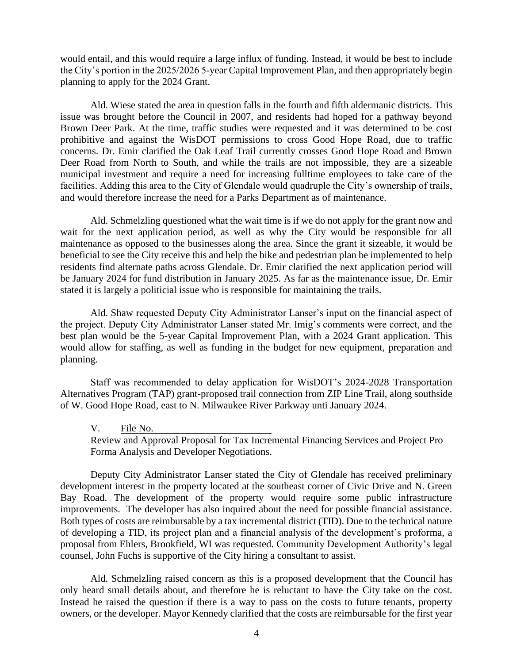would entail, and this would require a large influx of funding. Instead, it would be best to include the City's portion in the 2025/2026 5-year Capital Improvement Plan, and then appropriately begin planning to apply for the 2024 Grant.

Ald. Wiese stated the area in question falls in the fourth and fifth aldermanic districts. This issue was brought before the Council in 2007, and residents had hoped for a pathway beyond Brown Deer Park. At the time, traffic studies were requested and it was determined to be cost prohibitive and against the WisDOT permissions to cross Good Hope Road, due to traffic concerns. Dr. Emir clarified the Oak Leaf Trail currently crosses Good Hope Road and Brown Deer Road from North to South, and while the trails are not impossible, they are a sizeable municipal investment and require a need for increasing fulltime employees to take care of the facilities. Adding this area to the City of Glendale would quadruple the City's ownership of trails, and would therefore increase the need for a Parks Department as of maintenance.

Ald. Schmelzling questioned what the wait time is if we do not apply for the grant now and wait for the next application period, as well as why the City would be responsible for all maintenance as opposed to the businesses along the area. Since the grant it sizeable, it would be beneficial to see the City receive this and help the bike and pedestrian plan be implemented to help residents find alternate paths across Glendale. Dr. Emir clarified the next application period will be January 2024 for fund distribution in January 2025. As far as the maintenance issue, Dr. Emir stated it is largely a politicial issue who is responsible for maintaining the trails.

Ald. Shaw requested Deputy City Administrator Lanser's input on the financial aspect of the project. Deputy City Administrator Lanser stated Mr. Imig's comments were correct, and the best plan would be the 5-year Capital Improvement Plan, with a 2024 Grant application. This would allow for staffing, as well as funding in the budget for new equipment, preparation and planning.

Staff was recommended to delay application for WisDOT's 2024-2028 Transportation Alternatives Program (TAP) grant-proposed trail connection from ZIP Line Trail, along southside of W. Good Hope Road, east to N. Milwaukee River Parkway unti January 2024.

V. File No.

Review and Approval Proposal for Tax Incremental Financing Services and Project Pro Forma Analysis and Developer Negotiations.

Deputy City Administrator Lanser stated the City of Glendale has received preliminary development interest in the property located at the southeast corner of Civic Drive and N. Green Bay Road. The development of the property would require some public infrastructure improvements. The developer has also inquired about the need for possible financial assistance. Both types of costs are reimbursable by a tax incremental district (TID). Due to the technical nature of developing a TID, its project plan and a financial analysis of the development's proforma, a proposal from Ehlers, Brookfield, WI was requested. Community Development Authority's legal counsel, John Fuchs is supportive of the City hiring a consultant to assist.

Ald. Schmelzling raised concern as this is a proposed development that the Council has only heard small details about, and therefore he is reluctant to have the City take on the cost. Instead he raised the question if there is a way to pass on the costs to future tenants, property owners, or the developer. Mayor Kennedy clarified that the costs are reimbursable for the first year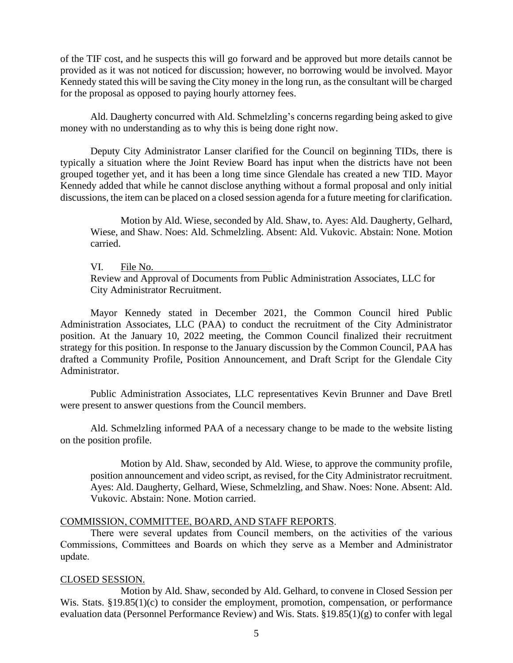of the TIF cost, and he suspects this will go forward and be approved but more details cannot be provided as it was not noticed for discussion; however, no borrowing would be involved. Mayor Kennedy stated this will be saving the City money in the long run, as the consultant will be charged for the proposal as opposed to paying hourly attorney fees.

Ald. Daugherty concurred with Ald. Schmelzling's concerns regarding being asked to give money with no understanding as to why this is being done right now.

Deputy City Administrator Lanser clarified for the Council on beginning TIDs, there is typically a situation where the Joint Review Board has input when the districts have not been grouped together yet, and it has been a long time since Glendale has created a new TID. Mayor Kennedy added that while he cannot disclose anything without a formal proposal and only initial discussions, the item can be placed on a closed session agenda for a future meeting for clarification.

Motion by Ald. Wiese, seconded by Ald. Shaw, to. Ayes: Ald. Daugherty, Gelhard, Wiese, and Shaw. Noes: Ald. Schmelzling. Absent: Ald. Vukovic. Abstain: None. Motion carried.

VI. File No. Review and Approval of Documents from Public Administration Associates, LLC for City Administrator Recruitment.

Mayor Kennedy stated in December 2021, the Common Council hired Public Administration Associates, LLC (PAA) to conduct the recruitment of the City Administrator position. At the January 10, 2022 meeting, the Common Council finalized their recruitment strategy for this position. In response to the January discussion by the Common Council, PAA has drafted a Community Profile, Position Announcement, and Draft Script for the Glendale City Administrator.

Public Administration Associates, LLC representatives Kevin Brunner and Dave Bretl were present to answer questions from the Council members.

Ald. Schmelzling informed PAA of a necessary change to be made to the website listing on the position profile.

Motion by Ald. Shaw, seconded by Ald. Wiese, to approve the community profile, position announcement and video script, as revised, for the City Administrator recruitment. Ayes: Ald. Daugherty, Gelhard, Wiese, Schmelzling, and Shaw. Noes: None. Absent: Ald. Vukovic. Abstain: None. Motion carried.

#### COMMISSION, COMMITTEE, BOARD, AND STAFF REPORTS.

There were several updates from Council members, on the activities of the various Commissions, Committees and Boards on which they serve as a Member and Administrator update.

## CLOSED SESSION.

Motion by Ald. Shaw, seconded by Ald. Gelhard, to convene in Closed Session per Wis. Stats. §19.85(1)(c) to consider the employment, promotion, compensation, or performance evaluation data (Personnel Performance Review) and Wis. Stats. §19.85(1)(g) to confer with legal